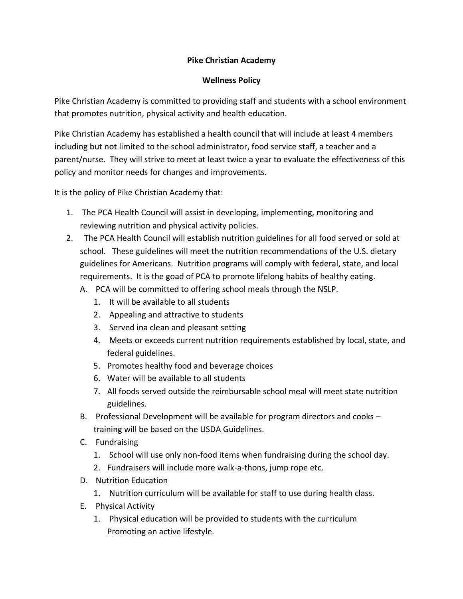## **Pike Christian Academy**

## **Wellness Policy**

Pike Christian Academy is committed to providing staff and students with a school environment that promotes nutrition, physical activity and health education.

Pike Christian Academy has established a health council that will include at least 4 members including but not limited to the school administrator, food service staff, a teacher and a parent/nurse. They will strive to meet at least twice a year to evaluate the effectiveness of this policy and monitor needs for changes and improvements.

It is the policy of Pike Christian Academy that:

- 1. The PCA Health Council will assist in developing, implementing, monitoring and reviewing nutrition and physical activity policies.
- 2. The PCA Health Council will establish nutrition guidelines for all food served or sold at school. These guidelines will meet the nutrition recommendations of the U.S. dietary guidelines for Americans. Nutrition programs will comply with federal, state, and local requirements. It is the goad of PCA to promote lifelong habits of healthy eating.
	- A. PCA will be committed to offering school meals through the NSLP.
		- 1. It will be available to all students
		- 2. Appealing and attractive to students
		- 3. Served ina clean and pleasant setting
		- 4. Meets or exceeds current nutrition requirements established by local, state, and federal guidelines.
		- 5. Promotes healthy food and beverage choices
		- 6. Water will be available to all students
		- 7. All foods served outside the reimbursable school meal will meet state nutrition guidelines.
	- B. Professional Development will be available for program directors and cooks training will be based on the USDA Guidelines.
	- C. Fundraising
		- 1. School will use only non-food items when fundraising during the school day.
		- 2. Fundraisers will include more walk-a-thons, jump rope etc.
	- D. Nutrition Education
		- 1. Nutrition curriculum will be available for staff to use during health class.
	- E. Physical Activity
		- 1. Physical education will be provided to students with the curriculum Promoting an active lifestyle.